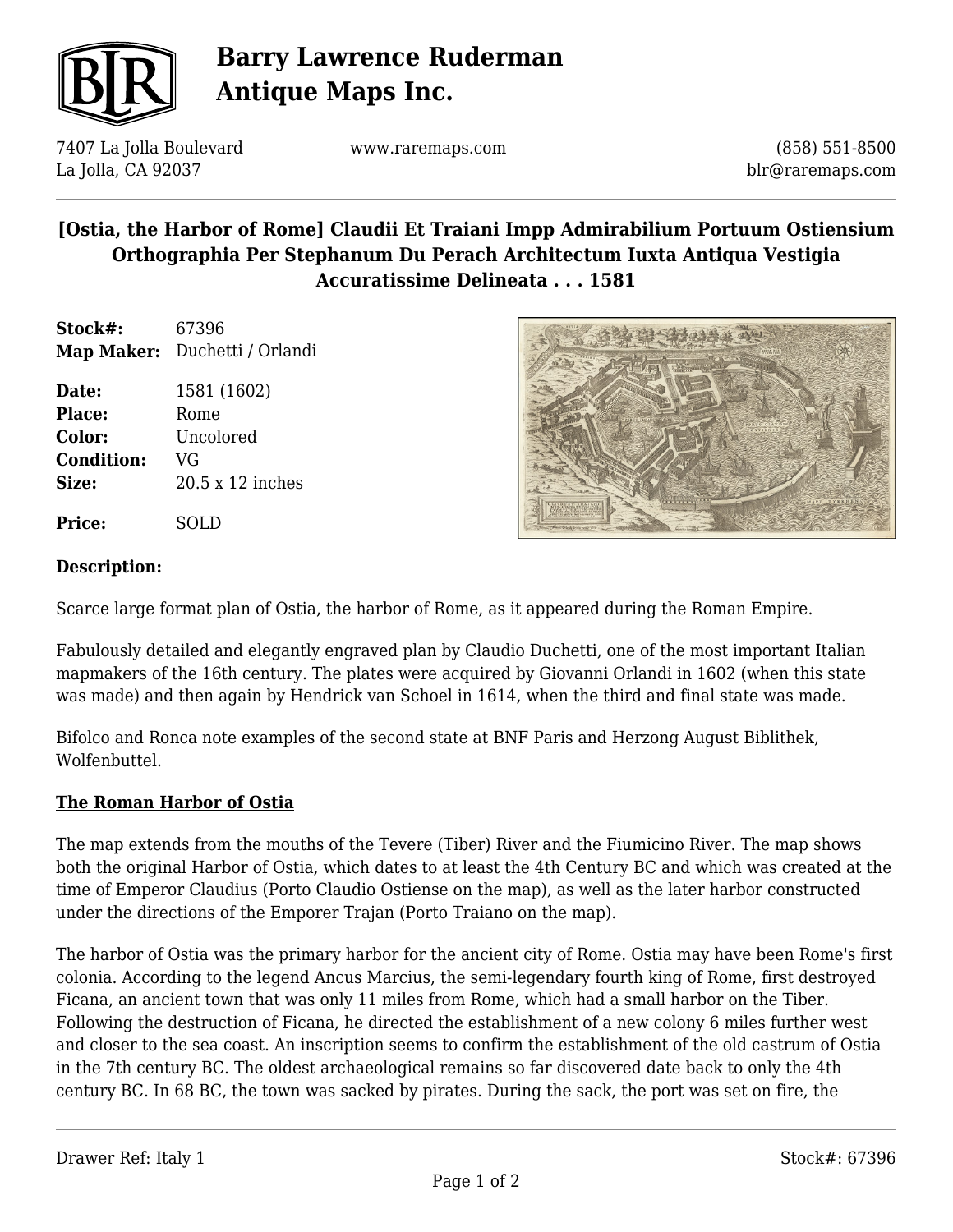

# **Barry Lawrence Ruderman Antique Maps Inc.**

7407 La Jolla Boulevard La Jolla, CA 92037

www.raremaps.com

(858) 551-8500 blr@raremaps.com

## **[Ostia, the Harbor of Rome] Claudii Et Traiani Impp Admirabilium Portuum Ostiensium Orthographia Per Stephanum Du Perach Architectum Iuxta Antiqua Vestigia Accuratissime Delineata . . . 1581**

**Stock#:** 67396 **Map Maker:** Duchetti / Orlandi

**Date:** 1581 (1602) Place: Rome **Color:** Uncolored **Condition:** VG **Size:** 20.5 x 12 inches

**Price:** SOLD



#### **Description:**

Scarce large format plan of Ostia, the harbor of Rome, as it appeared during the Roman Empire.

Fabulously detailed and elegantly engraved plan by Claudio Duchetti, one of the most important Italian mapmakers of the 16th century. The plates were acquired by Giovanni Orlandi in 1602 (when this state was made) and then again by Hendrick van Schoel in 1614, when the third and final state was made.

Bifolco and Ronca note examples of the second state at BNF Paris and Herzong August Biblithek, Wolfenbuttel.

#### **The Roman Harbor of Ostia**

The map extends from the mouths of the Tevere (Tiber) River and the Fiumicino River. The map shows both the original Harbor of Ostia, which dates to at least the 4th Century BC and which was created at the time of Emperor Claudius (Porto Claudio Ostiense on the map), as well as the later harbor constructed under the directions of the Emporer Trajan (Porto Traiano on the map).

The harbor of Ostia was the primary harbor for the ancient city of Rome. Ostia may have been Rome's first colonia. According to the legend Ancus Marcius, the semi-legendary fourth king of Rome, first destroyed Ficana, an ancient town that was only 11 miles from Rome, which had a small harbor on the Tiber. Following the destruction of Ficana, he directed the establishment of a new colony 6 miles further west and closer to the sea coast. An inscription seems to confirm the establishment of the old castrum of Ostia in the 7th century BC. The oldest archaeological remains so far discovered date back to only the 4th century BC. In 68 BC, the town was sacked by pirates. During the sack, the port was set on fire, the